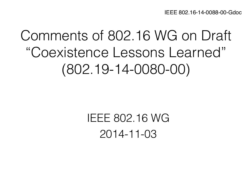# Comments of 802.16 WG on Draft "Coexistence Lessons Learned" (802.19-14-0080-00)

## IEEE 802.16 WG 2014-11-03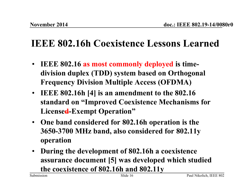#### **IEEE 802.16h Coexistence Lessons Learned**

- **IEEE 802.16 as most commonly deployed is timedivision duplex (TDD) system based on Orthogonal Frequency Division Multiple Access (OFDMA)**
- **IEEE 802.16h [4] is an amendment to the 802.16 standard on "Improved Coexistence Mechanisms for Licensed-Exempt Operation"**
- **One band considered for 802.16h operation is the 3650-3700 MHz band, also considered for 802.11y operation**
- **During the development of 802.16h a coexistence assurance document [5] was developed which studied the coexistence of 802.16h and 802.11y**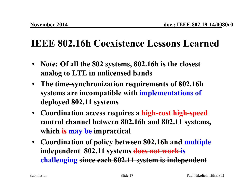#### **IEEE 802.16h Coexistence Lessons Learned**

- **Note: Of all the 802 systems, 802.16h is the closest analog to LTE in unlicensed bands**
- **The time-synchronization requirements of 802.16h systems are incompatible with implementations of deployed 802.11 systems**
- **Coordination access requires a high-cost high-speed control channel between 802.16h and 802.11 systems, which is may be impractical**
- **Coordination of policy between 802.16h and multiple independent 802.11 systems does not work is challenging since each 802.11 system is independent**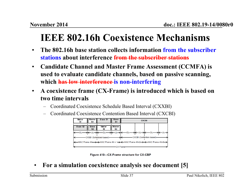### **IEEE 802.16h Coexistence Mechanisms**

- **The 802.16h base station collects information from the subscriber stations about interference from the subscriber stations**
- **Candidate Channel and Master Frame Assessment (CCMFA) is used to evaluate candidate channels, based on passive scanning, which has low interference is non-interfering**
- **A coexistence frame (CX-Frame) is introduced which is based on two time intervals** 
	- Coordinated Coexistence Schedule Based Interval (CXXBI)
	- Coordinated Coexistence Contention Based Interval (CXCBI)



Figure 410-CX-Frame structure for CX-CBP

• **For a simulation coexistence analysis see document [5]**